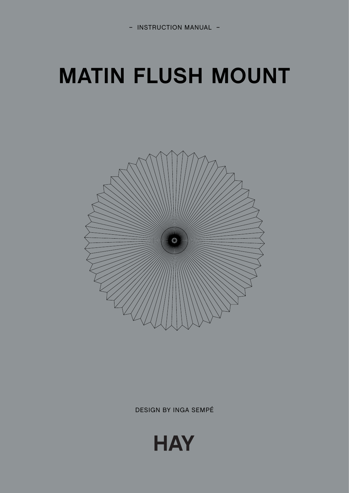## **MATIN FLUSH MOUNT**



**DESIGN BY INGA SEMPÉ** 

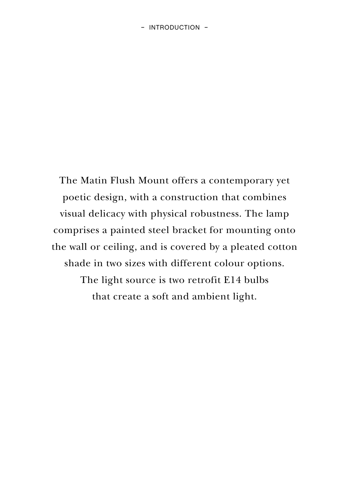The Matin Flush Mount offers a contemporary yet poetic design, with a construction that combines visual delicacy with physical robustness. The lamp comprises a painted steel bracket for mounting onto the wall or ceiling, and is covered by a pleated cotton shade in two sizes with different colour options. The light source is two retrofit E14 bulbs that create a soft and ambient light.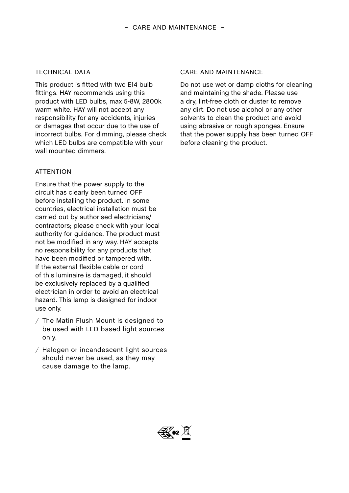## TECHNICAL DATA

This product is fitted with two E14 bulb fittings. HAY recommends using this product with LED bulbs, max 5-8W, 2800k warm white. HAY will not accept any responsibility for any accidents, injuries or damages that occur due to the use of incorrect bulbs. For dimming, please check which LED bulbs are compatible with your wall mounted dimmers.

## **ATTENTION**

Ensure that the power supply to the circuit has clearly been turned OFF before installing the product. In some countries, electrical installation must be carried out by authorised electricians/ contractors; please check with your local authority for guidance. The product must not be modified in any way. HAY accepts no responsibility for any products that have been modified or tampered with. If the external flexible cable or cord of this luminaire is damaged, it should be exclusively replaced by a qualified electrician in order to avoid an electrical hazard. This lamp is designed for indoor use only.

- / The Matin Flush Mount is designed to be used with LED based light sources only.
- / Halogen or incandescent light sources should never be used, as they may cause damage to the lamp.

## CARE AND MAINTENANCE

Do not use wet or damp cloths for cleaning and maintaining the shade. Please use a dry, lint-free cloth or duster to remove any dirt. Do not use alcohol or any other solvents to clean the product and avoid using abrasive or rough sponges. Ensure that the power supply has been turned OFF before cleaning the product.

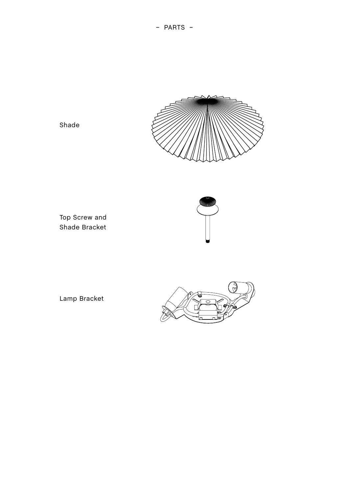- PARTS -



Shade

Top Screw and Shade Bracket



Lamp Bracket

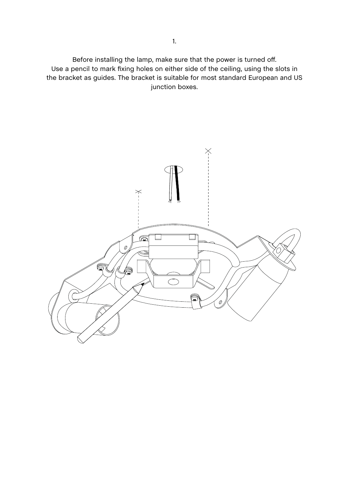Before installing the lamp, make sure that the power is turned off. Use a pencil to mark fixing holes on either side of the ceiling, using the slots in the bracket as guides. The bracket is suitable for most standard European and US junction boxes.

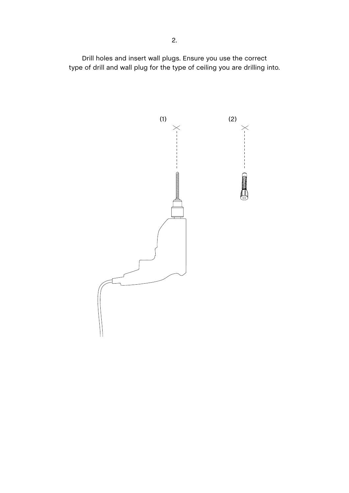Drill holes and insert wall plugs. Ensure you use the correct type of drill and wall plug for the type of ceiling you are drilling into.

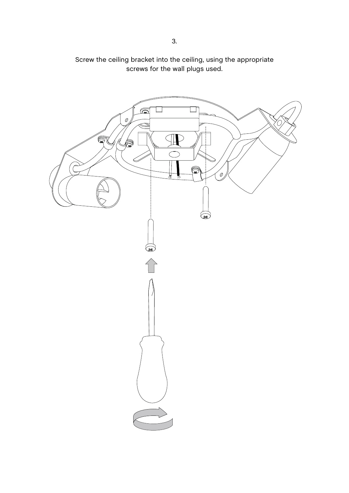

Screw the ceiling bracket into the ceiling, using the appropriate screws for the wall plugs used.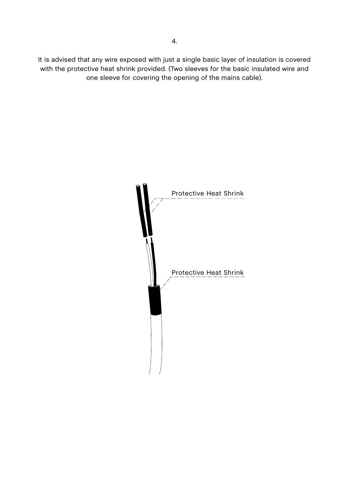It is advised that any wire exposed with just a single basic layer of insulation is covered with the protective heat shrink provided. (Two sleeves for the basic insulated wire and one sleeve for covering the opening of the mains cable).

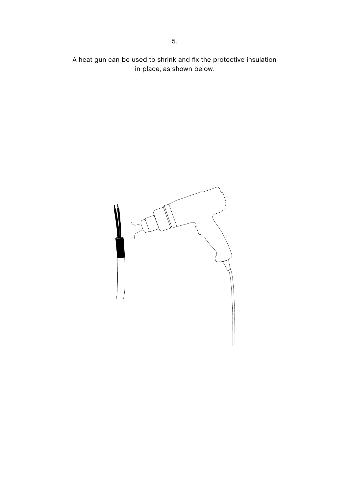A heat gun can be used to shrink and fix the protective insulation in place, as shown below.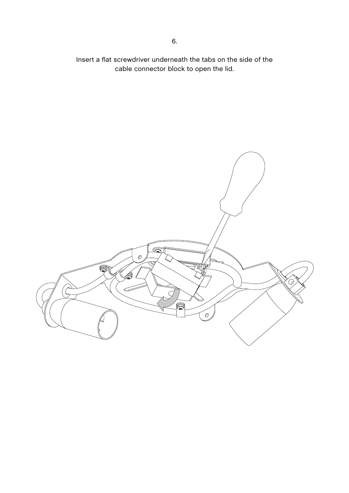Insert a flat screwdriver underneath the tabs on the side of the cable connector block to open the lid.

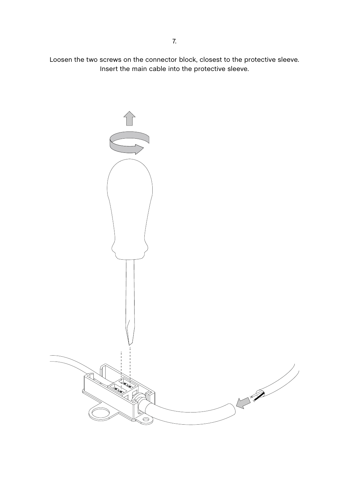Loosen the two screws on the connector block, closest to the protective sleeve. Insert the main cable into the protective sleeve.

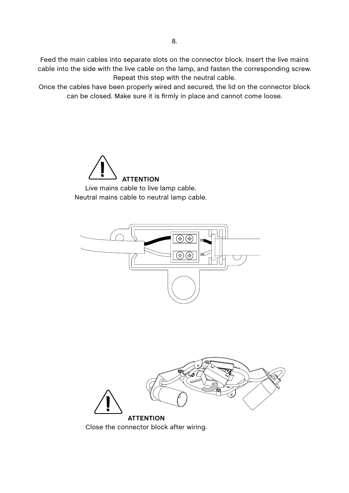Feed the main cables into separate slots on the connector block. Insert the live mains cable into the side with the live cable on the lamp, and fasten the corresponding screw. Repeat this step with the neutral cable.

Once the cables have been properly wired and secured, the lid on the connector block can be closed. Make sure it is firmly in place and cannot come loose.







Close the connector block after wiring.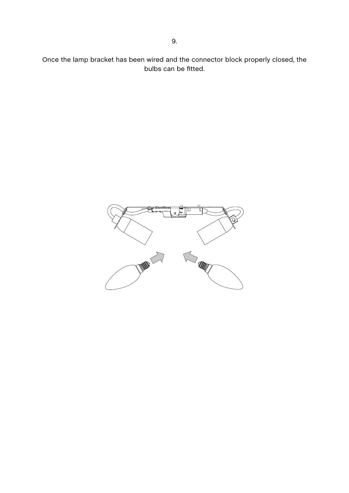Once the lamp bracket has been wired and the connector block properly closed, the bulbs can be fitted.

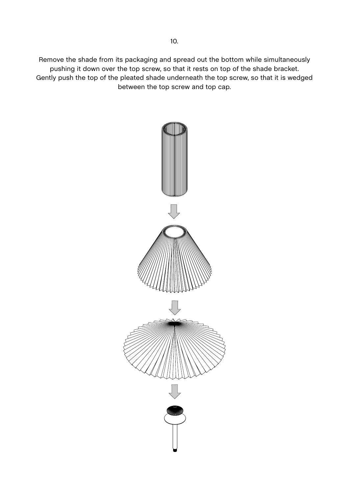Remove the shade from its packaging and spread out the bottom while simultaneously pushing it down over the top screw, so that it rests on top of the shade bracket. Gently push the top of the pleated shade underneath the top screw, so that it is wedged between the top screw and top cap.

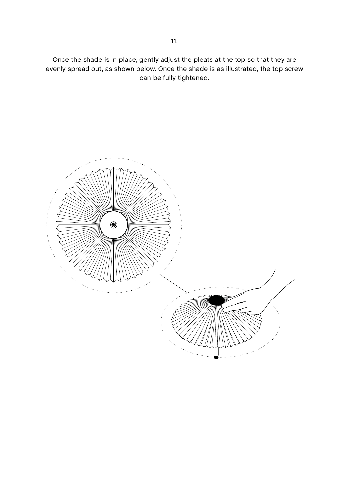Once the shade is in place, gently adjust the pleats at the top so that they are evenly spread out, as shown below. Once the shade is as illustrated, the top screw can be fully tightened.

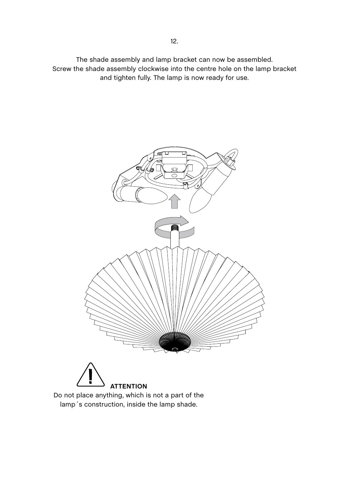The shade assembly and lamp bracket can now be assembled. Screw the shade assembly clockwise into the centre hole on the lamp bracket and tighten fully. The lamp is now ready for use.